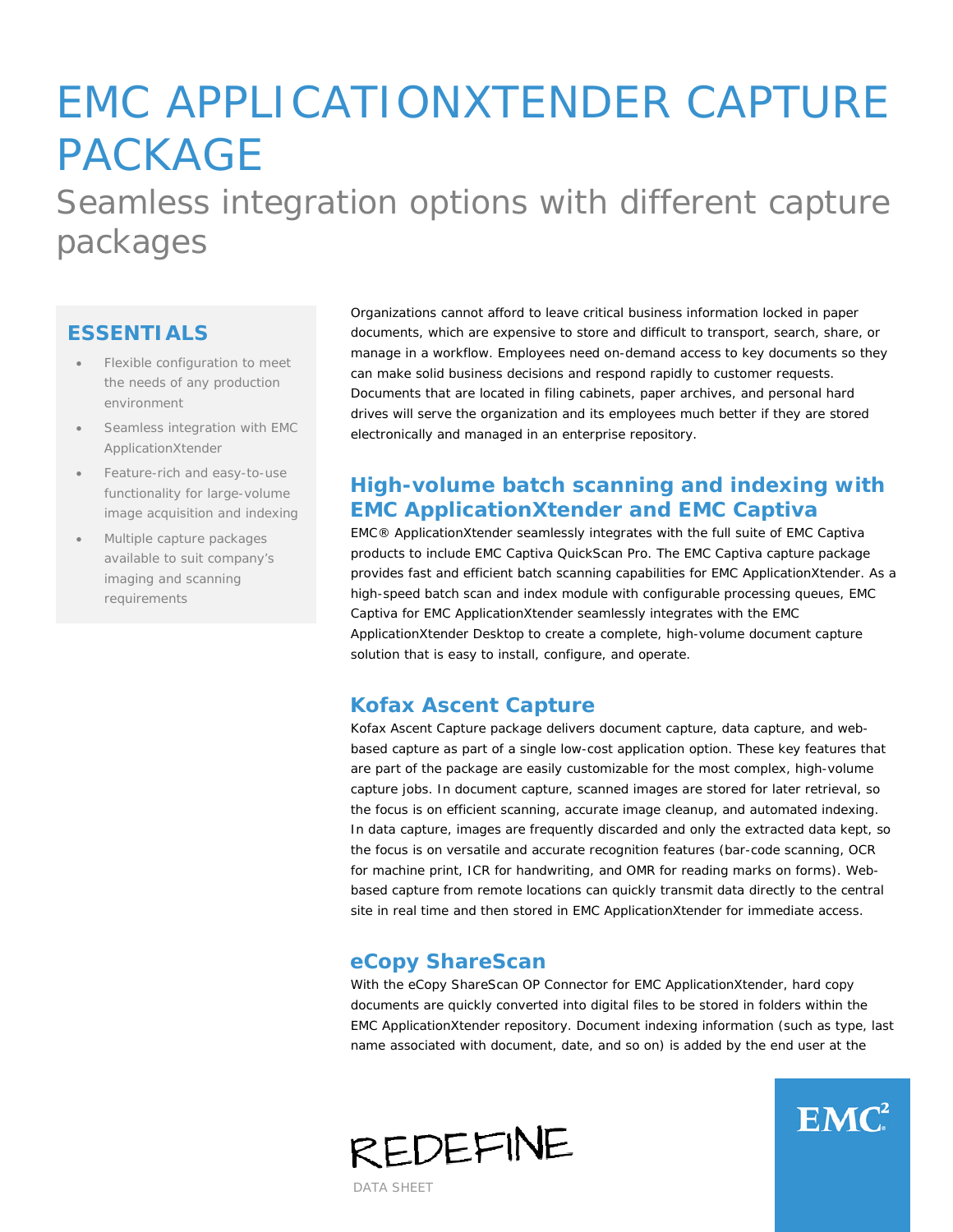# EMC APPLICATIONXTENDER CAPTURE PACKAGE Seamless integration options with different capture packages

### **ESSENTIALS**

- Flexible configuration to meet the needs of any production environment
- Seamless integration with EMC ApplicationXtender
- Feature-rich and easy-to-use functionality for large-volume image acquisition and indexing
- Multiple capture packages available to suit company's imaging and scanning requirements

Organizations cannot afford to leave critical business information locked in paper documents, which are expensive to store and difficult to transport, search, share, or manage in a workflow. Employees need on-demand access to key documents so they can make solid business decisions and respond rapidly to customer requests. Documents that are located in filing cabinets, paper archives, and personal hard drives will serve the organization and its employees much better if they are stored electronically and managed in an enterprise repository.

## **High-volume batch scanning and indexing with EMC ApplicationXtender and EMC Captiva**

EMC® ApplicationXtender seamlessly integrates with the full suite of EMC Captiva products to include EMC Captiva QuickScan Pro. The EMC Captiva capture package provides fast and efficient batch scanning capabilities for EMC ApplicationXtender. As a high-speed batch scan and index module with configurable processing queues, EMC Captiva for EMC ApplicationXtender seamlessly integrates with the EMC ApplicationXtender Desktop to create a complete, high-volume document capture solution that is easy to install, configure, and operate.

## **Kofax Ascent Capture**

Kofax Ascent Capture package delivers document capture, data capture, and webbased capture as part of a single low-cost application option. These key features that are part of the package are easily customizable for the most complex, high-volume capture jobs. In document capture, scanned images are stored for later retrieval, so the focus is on efficient scanning, accurate image cleanup, and automated indexing. In data capture, images are frequently discarded and only the extracted data kept, so the focus is on versatile and accurate recognition features (bar-code scanning, OCR for machine print, ICR for handwriting, and OMR for reading marks on forms). Webbased capture from remote locations can quickly transmit data directly to the central site in real time and then stored in EMC ApplicationXtender for immediate access.

#### **eCopy ShareScan**

With the eCopy ShareScan OP Connector for EMC ApplicationXtender, hard copy documents are quickly converted into digital files to be stored in folders within the EMC ApplicationXtender repository. Document indexing information (such as type, last name associated with document, date, and so on) is added by the end user at the



 $EMC<sup>2</sup>$ 

DATA SHEET